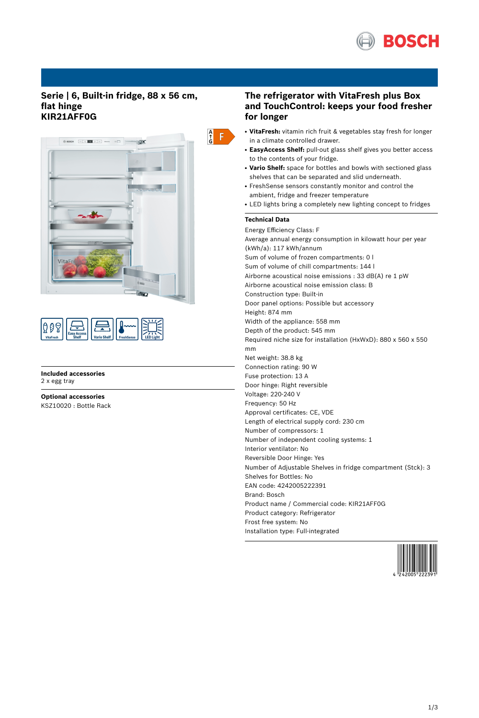

# **Serie | 6, Built-in fridge, 88 x 56 cm, flat hinge KIR21AFF0G**



| <b>Vario Shelf</b><br><b>FreshSense</b><br><b>VitaFresh</b> | น |  |  |  |  |
|-------------------------------------------------------------|---|--|--|--|--|
|-------------------------------------------------------------|---|--|--|--|--|

**Included accessories** 2 x egg tray

**Optional accessories** KSZ10020 : Bottle Rack

# **The refrigerator with VitaFresh plus Box and TouchControl: keeps your food fresher for longer**

- VitaFresh: vitamin rich fruit & vegetables stay fresh for longer in a climate controlled drawer.
- **EasyAccess Shelf:** pull-out glass shelf gives you better access to the contents of your fridge.
- Vario Shelf: space for bottles and bowls with sectioned glass shelves that can be separated and slid underneath.
- FreshSense sensors constantly monitor and control the ambient, fridge and freezer temperature
- LED lights bring a completely new lighting concept to fridges

# **Technical Data**

Energy Efficiency Class: F Average annual energy consumption in kilowatt hour per year (kWh/a): 117 kWh/annum Sum of volume of frozen compartments: 0 l Sum of volume of chill compartments: 144 l Airborne acoustical noise emissions : 33 dB(A) re 1 pW Airborne acoustical noise emission class: B Construction type: Built-in Door panel options: Possible but accessory Height: 874 mm Width of the appliance: 558 mm Depth of the product: 545 mm Required niche size for installation (HxWxD): 880 x 560 x 550 mm Net weight: 38.8 kg Connection rating: 90 W Fuse protection: 13 A Door hinge: Right reversible Voltage: 220-240 V Frequency: 50 Hz Approval certificates: CE, VDE Length of electrical supply cord: 230 cm Number of compressors: 1 Number of independent cooling systems: 1 Interior ventilator: No Reversible Door Hinge: Yes Number of Adjustable Shelves in fridge compartment (Stck): 3 Shelves for Bottles: No EAN code: 4242005222391 Brand: Bosch Product name / Commercial code: KIR21AFF0G Product category: Refrigerator Frost free system: No Installation type: Full-integrated

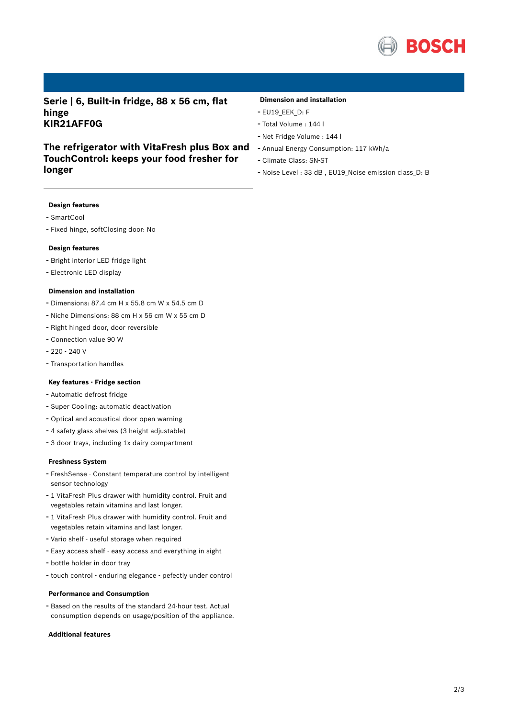

**Serie | 6, Built-in fridge, 88 x 56 cm, flat hinge KIR21AFF0G**

# **The refrigerator with VitaFresh plus Box and TouchControl: keeps your food fresher for longer**

## **Dimension and installation**

- EU19\_EEK\_D: F
- Total Volume : <sup>144</sup> <sup>l</sup>
- Net Fridge Volume : <sup>144</sup> <sup>l</sup>
- Annual Energy Consumption: <sup>117</sup> kWh/a
- Climate Class: SN-ST
- Noise Level : <sup>33</sup> dB , EU19\_Noise emission class\_D: <sup>B</sup>

### **Design features**

- SmartCool
- Fixed hinge, softClosing door: No

### **Design features**

- Bright interior LED fridge light
- Electronic LED display

#### **Dimension and installation**

- Dimensions: 87.4 cm H x 55.8 cm W x 54.5 cm D
- Niche Dimensions: <sup>88</sup> cm <sup>H</sup> <sup>x</sup> <sup>56</sup> cm <sup>W</sup> <sup>x</sup> <sup>55</sup> cm <sup>D</sup>
- Right hinged door, door reversible
- Connection value <sup>90</sup> <sup>W</sup>
- 220 240 V
- Transportation handles

#### **Key features - Fridge section**

- Automatic defrost fridge
- Super Cooling: automatic deactivation
- Optical and acoustical door open warning
- <sup>4</sup> safety glass shelves (3 height adjustable)
- <sup>3</sup> door trays, including 1x dairy compartment

### **Freshness System**

- FreshSense Constant temperature control by intelligent sensor technology
- <sup>1</sup> VitaFresh Plus drawer with humidity control. Fruit and vegetables retain vitamins and last longer.
- <sup>1</sup> VitaFresh Plus drawer with humidity control. Fruit and vegetables retain vitamins and last longer.
- Vario shelf useful storage when required
- Easy access shelf easy access and everything in sight
- bottle holder in door tray
- touch control enduring elegance pefectly under control

## **Performance and Consumption**

- Based on the results of the standard 24-hour test. Actual consumption depends on usage/position of the appliance.

## **Additional features**